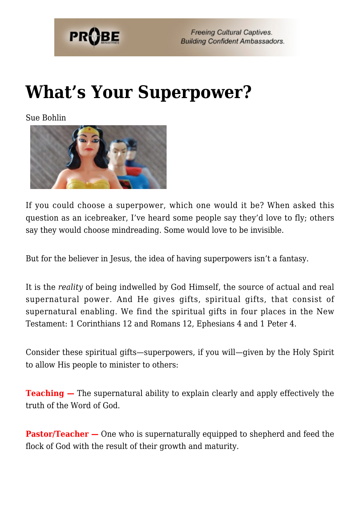

## **[What's Your Superpower?](https://probe.org/whats-your-superpower/)**

Sue Bohlin



If you could choose a superpower, which one would it be? When asked this question as an icebreaker, I've heard some people say they'd love to fly; others say they would choose mindreading. Some would love to be invisible.

But for the believer in Jesus, the idea of having superpowers isn't a fantasy.

It is the *reality* of being indwelled by God Himself, the source of actual and real supernatural power. And He gives gifts, spiritual gifts, that consist of supernatural enabling. We find the spiritual gifts in four places in the New Testament: 1 Corinthians 12 and Romans 12, Ephesians 4 and 1 Peter 4.

Consider these spiritual gifts—superpowers, if you will—given by the Holy Spirit to allow His people to minister to others:

**Teaching –** The supernatural ability to explain clearly and apply effectively the truth of the Word of God.

**Pastor/Teacher –** One who is supernaturally equipped to shepherd and feed the flock of God with the result of their growth and maturity.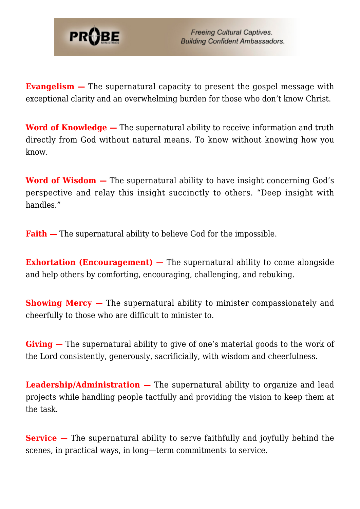

**Evangelism –** The supernatural capacity to present the gospel message with exceptional clarity and an overwhelming burden for those who don't know Christ.

**Word of Knowledge —** The supernatural ability to receive information and truth directly from God without natural means. To know without knowing how you know.

**Word of Wisdom —** The supernatural ability to have insight concerning God's perspective and relay this insight succinctly to others. "Deep insight with handles."

**Faith –** The supernatural ability to believe God for the impossible.

**Exhortation (Encouragement) –** The supernatural ability to come alongside and help others by comforting, encouraging, challenging, and rebuking.

**Showing Mercy –** The supernatural ability to minister compassionately and cheerfully to those who are difficult to minister to.

**Giving —** The supernatural ability to give of one's material goods to the work of the Lord consistently, generously, sacrificially, with wisdom and cheerfulness.

**Leadership/Administration —** The supernatural ability to organize and lead projects while handling people tactfully and providing the vision to keep them at the task.

**Service –** The supernatural ability to serve faithfully and joyfully behind the scenes, in practical ways, in long—term commitments to service.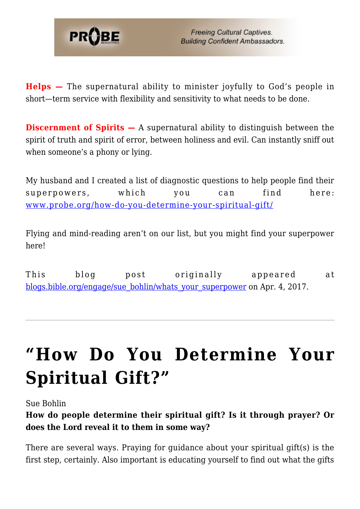

**Helps —** The supernatural ability to minister joyfully to God's people in short—term service with flexibility and sensitivity to what needs to be done.

**Discernment of Spirits –** A supernatural ability to distinguish between the spirit of truth and spirit of error, between holiness and evil. Can instantly sniff out when someone's a phony or lying.

My husband and I created a list of diagnostic questions to help people find their superpowers, which you can find here: [www.probe.org/how-do-you-determine-your-spiritual-gift/](https://www.probe.org/how-do-you-determine-your-spiritual-gift/)

Flying and mind-reading aren't on our list, but you might find your superpower here!

This blog post originally appeared at [blogs.bible.org/engage/sue\\_bohlin/whats\\_your\\_superpower](http://blogs.bible.org/engage/sue_bohlin/whats_your_superpower) on Apr. 4, 2017.

## **["How Do You Determine Your](https://probe.org/how-do-you-determine-your-spiritual-gift/) [Spiritual Gift?"](https://probe.org/how-do-you-determine-your-spiritual-gift/)**

Sue Bohlin

**How do people determine their spiritual gift? Is it through prayer? Or does the Lord reveal it to them in some way?**

There are several ways. Praying for guidance about your spiritual gift(s) is the first step, certainly. Also important is educating yourself to find out what the gifts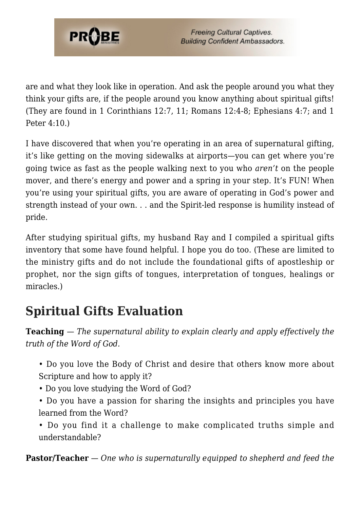

are and what they look like in operation. And ask the people around you what they think your gifts are, if the people around you know anything about spiritual gifts! (They are found in 1 Corinthians 12:7, 11; Romans 12:4-8; Ephesians 4:7; and 1 Peter 4:10.)

I have discovered that when you're operating in an area of supernatural gifting, it's like getting on the moving sidewalks at airports—you can get where you're going twice as fast as the people walking next to you who *aren't* on the people mover, and there's energy and power and a spring in your step. It's FUN! When you're using your spiritual gifts, you are aware of operating in God's power and strength instead of your own. . . and the Spirit-led response is humility instead of pride.

After studying spiritual gifts, my husband Ray and I compiled a spiritual gifts inventory that some have found helpful. I hope you do too. (These are limited to the ministry gifts and do not include the foundational gifts of apostleship or prophet, nor the sign gifts of tongues, interpretation of tongues, healings or miracles.)

## **Spiritual Gifts Evaluation**

**Teaching** — *The supernatural ability to explain clearly and apply effectively the truth of the Word of God.*

- Do you love the Body of Christ and desire that others know more about Scripture and how to apply it?
- Do you love studying the Word of God?
- Do you have a passion for sharing the insights and principles you have learned from the Word?
- Do you find it a challenge to make complicated truths simple and understandable?

**Pastor/Teacher** — *One who is supernaturally equipped to shepherd and feed the*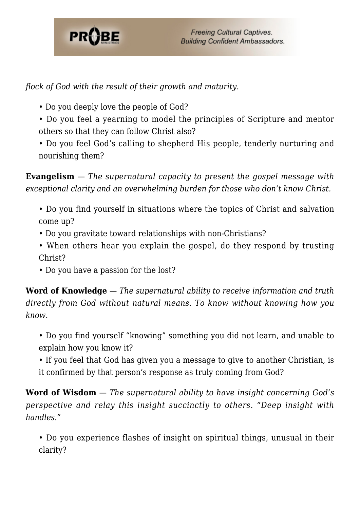

*flock of God with the result of their growth and maturity.*

- Do you deeply love the people of God?
- Do you feel a yearning to model the principles of Scripture and mentor others so that they can follow Christ also?
- Do you feel God's calling to shepherd His people, tenderly nurturing and nourishing them?

**Evangelism** — *The supernatural capacity to present the gospel message with exceptional clarity and an overwhelming burden for those who don't know Christ.*

- Do you find yourself in situations where the topics of Christ and salvation come up?
- Do you gravitate toward relationships with non-Christians?
- When others hear you explain the gospel, do they respond by trusting Christ?
- Do you have a passion for the lost?

**Word of Knowledge** — *The supernatural ability to receive information and truth directly from God without natural means. To know without knowing how you know.*

• Do you find yourself "knowing" something you did not learn, and unable to explain how you know it?

• If you feel that God has given you a message to give to another Christian, is it confirmed by that person's response as truly coming from God?

**Word of Wisdom** — *The supernatural ability to have insight concerning God's perspective and relay this insight succinctly to others. "Deep insight with handles."*

• Do you experience flashes of insight on spiritual things, unusual in their clarity?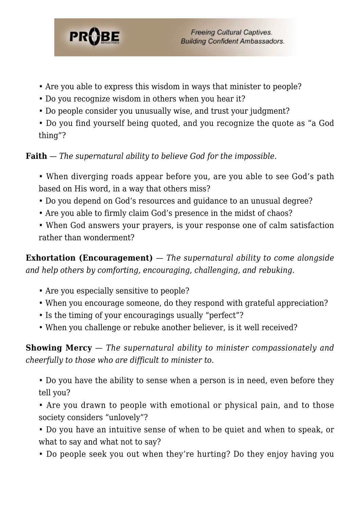

- Are you able to express this wisdom in ways that minister to people?
- Do you recognize wisdom in others when you hear it?
- Do people consider you unusually wise, and trust your judgment?
- Do you find yourself being quoted, and you recognize the quote as "a God thing"?

**Faith** — *The supernatural ability to believe God for the impossible.*

- When diverging roads appear before you, are you able to see God's path based on His word, in a way that others miss?
- Do you depend on God's resources and guidance to an unusual degree?
- Are you able to firmly claim God's presence in the midst of chaos?
- When God answers your prayers, is your response one of calm satisfaction rather than wonderment?

**Exhortation (Encouragement)** — *The supernatural ability to come alongside and help others by comforting, encouraging, challenging, and rebuking.*

- Are you especially sensitive to people?
- When you encourage someone, do they respond with grateful appreciation?
- Is the timing of your encouragings usually "perfect"?
- When you challenge or rebuke another believer, is it well received?

**Showing Mercy** — *The supernatural ability to minister compassionately and cheerfully to those who are difficult to minister to.*

- Do you have the ability to sense when a person is in need, even before they tell you?
- Are you drawn to people with emotional or physical pain, and to those society considers "unlovely"?
- Do you have an intuitive sense of when to be quiet and when to speak, or what to say and what not to say?
- Do people seek you out when they're hurting? Do they enjoy having you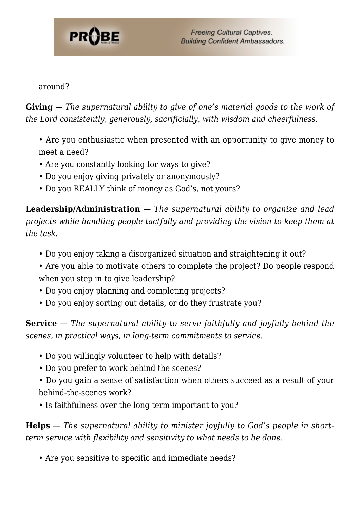

around?

**Giving** — *The supernatural ability to give of one's material goods to the work of the Lord consistently, generously, sacrificially, with wisdom and cheerfulness.*

- Are you enthusiastic when presented with an opportunity to give money to meet a need?
- Are you constantly looking for ways to give?
- Do you enjoy giving privately or anonymously?
- Do you REALLY think of money as God's, not yours?

**Leadership/Administration** — *The supernatural ability to organize and lead projects while handling people tactfully and providing the vision to keep them at the task.*

- Do you enjoy taking a disorganized situation and straightening it out?
- Are you able to motivate others to complete the project? Do people respond when you step in to give leadership?
- Do you enjoy planning and completing projects?
- Do you enjoy sorting out details, or do they frustrate you?

**Service** — *The supernatural ability to serve faithfully and joyfully behind the scenes, in practical ways, in long-term commitments to service.*

- Do you willingly volunteer to help with details?
- Do you prefer to work behind the scenes?
- Do you gain a sense of satisfaction when others succeed as a result of your behind-the-scenes work?
- Is faithfulness over the long term important to you?

**Helps** — *The supernatural ability to minister joyfully to God's people in shortterm service with flexibility and sensitivity to what needs to be done.*

• Are you sensitive to specific and immediate needs?